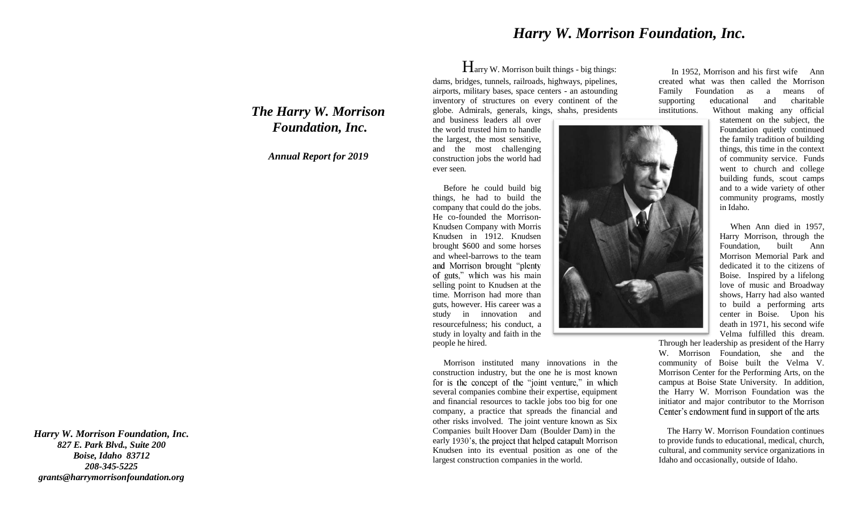## *Harry W. Morrison Foundation, Inc.*

Harry W. Morrison built things - big things: dams, bridges, tunnels, railroads, highways, pipelines, airports, military bases, space centers - an astounding inventory of structures on every continent of the globe. Admirals, generals, kings, shahs, presidents

and business leaders all over the world trusted him to handle the largest, the most sensitive, and the most challenging construction jobs the world had ever seen.

 Before he could build big things, he had to build the company that could do the jobs. He co-founded the Morrison-Knudsen Company with Morris Knudsen in 1912. Knudsen brought \$600 and some horses and wheel-barrows to the team and Morrison brought "plenty" of guts," which was his main selling point to Knudsen at the time. Morrison had more than guts, however. His career was a study in innovation and resourcefulness; his conduct, a study in loyalty and faith in the people he hired.

 Morrison instituted many innovations in the construction industry, but the one he is most known for is the concept of the "joint venture," in which several companies combine their expertise, equipment and financial resources to tackle jobs too big for one company, a practice that spreads the financial and other risks involved. The joint venture known as Six Companies built Hoover Dam (Boulder Dam) in the early 1930's, the project that helped catapult Morrison Knudsen into its eventual position as one of the largest construction companies in the world.

 In 1952, Morrison and his first wife Ann created what was then called the Morrison Family Foundation as a means of supporting educational and charitable institutions. Without making any official

> statement on the subject, the Foundation quietly continued the family tradition of building things, this time in the context of community service. Funds went to church and college building funds, scout camps and to a wide variety of other community programs, mostly in Idaho.

> When Ann died in 1957, Harry Morrison, through the Foundation, built Ann Morrison Memorial Park and dedicated it to the citizens of Boise. Inspired by a lifelong love of music and Broadway shows, Harry had also wanted to build a performing arts center in Boise. Upon his death in 1971, his second wife Velma fulfilled this dream.

Through her leadership as president of the Harry W. Morrison Foundation, she and the community of Boise built the Velma V. Morrison Center for the Performing Arts, on the campus at Boise State University. In addition, the Harry W. Morrison Foundation was the initiator and major contributor to the Morrison Center's endowment fund in support of the arts.

 The Harry W. Morrison Foundation continues to provide funds to educational, medical, church, cultural, and community service organizations in Idaho and occasionally, outside of Idaho.

*The Harry W. Morrison Foundation, Inc.* 

*Annual Report for 2019*

*Harry W. Morrison Foundation, Inc. 827 E. Park Blvd., Suite 200 Boise, Idaho 83712 208-345-5225 grants@harrymorrisonfoundation.org*